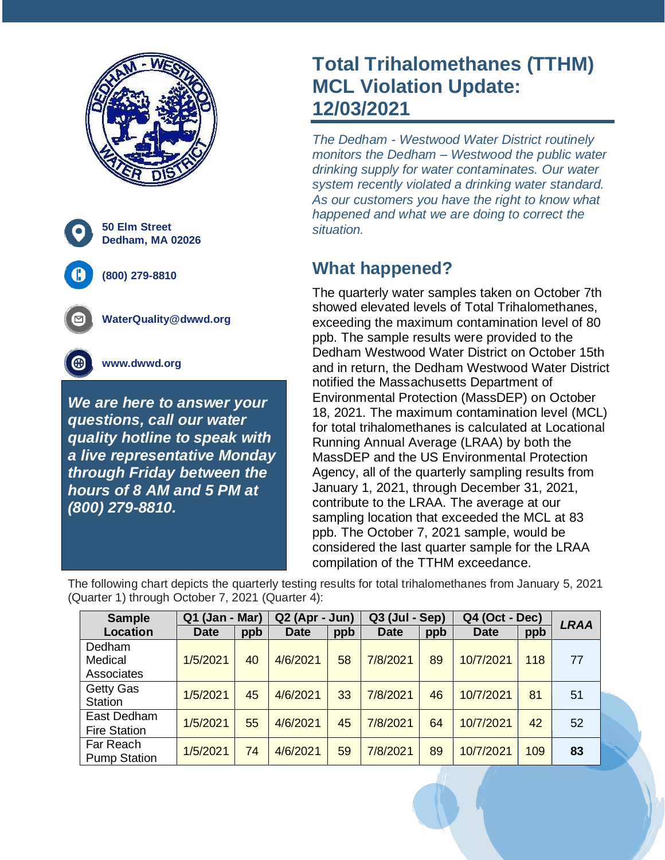

# **Total Trihalomethanes (TTHM) MCL Violation Update: 12/03/2021**

*The Dedham - Westwood Water District routinely monitors the Dedham – Westwood the public water drinking supply for water contaminates. Our water system recently violated a drinking water standard. As our customers you have the right to know what happened and what we are doing to correct the situation.*

## **What happened?**

The quarterly water samples taken on October 7th showed elevated levels of Total Trihalomethanes, exceeding the maximum contamination level of 80 ppb. The sample results were provided to the Dedham Westwood Water District on October 15th and in return, the Dedham Westwood Water District notified the Massachusetts Department of Environmental Protection (MassDEP) on October 18, 2021. The maximum contamination level (MCL) for total trihalomethanes is calculated at Locational Running Annual Average (LRAA) by both the MassDEP and the US Environmental Protection Agency, all of the quarterly sampling results from January 1, 2021, through December 31, 2021, contribute to the LRAA. The average at our sampling location that exceeded the MCL at 83 ppb. The October 7, 2021 sample, would be considered the last quarter sample for the LRAA compilation of the TTHM exceedance.

The following chart depicts the quarterly testing results for total trihalomethanes from January 5, 2021 (Quarter 1) through October 7, 2021 (Quarter 4):

| <b>Sample</b>       | Q1 (Jan -<br>Mar) |     | Q <sub>2</sub> (Apr<br>- Jun) |     | Q3 (Jul - Sep) |     | Q4 (Oct - Dec) |     | <b>LRAA</b> |
|---------------------|-------------------|-----|-------------------------------|-----|----------------|-----|----------------|-----|-------------|
| Location            | <b>Date</b>       | ppb | <b>Date</b>                   | ppb | <b>Date</b>    | ppb | <b>Date</b>    | ppb |             |
| Dedham              |                   |     |                               |     |                |     |                |     |             |
| Medical             | 1/5/2021          | 40  | 4/6/2021                      | 58  | 7/8/2021       | 89  | 10/7/2021      | 118 | 77          |
| Associates          |                   |     |                               |     |                |     |                |     |             |
| Getty Gas           | 1/5/2021          | 45  | 4/6/2021                      | 33  | 7/8/2021       | 46  | 10/7/2021      | 81  | 51          |
| <b>Station</b>      |                   |     |                               |     |                |     |                |     |             |
| East Dedham         | 1/5/2021          | 55  | 4/6/2021                      | 45  | 7/8/2021       | 64  | 10/7/2021      | 42  | 52          |
| <b>Fire Station</b> |                   |     |                               |     |                |     |                |     |             |
| Far Reach           | 1/5/2021          | 74  | 4/6/2021                      | 59  | 7/8/2021       | 89  | 10/7/2021      | 109 | 83          |
| <b>Pump Station</b> |                   |     |                               |     |                |     |                |     |             |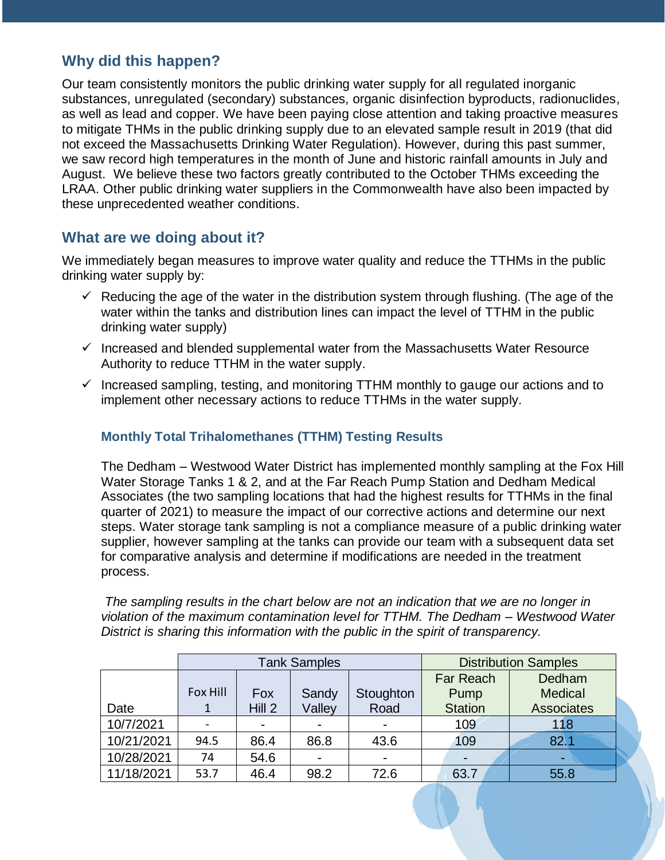### **Why did this happen?**

Our team consistently monitors the public drinking water supply for all regulated inorganic substances, unregulated (secondary) substances, organic disinfection byproducts, radionuclides, as well as lead and copper. We have been paying close attention and taking proactive measures to mitigate THMs in the public drinking supply due to an elevated sample result in 2019 (that did not exceed the Massachusetts Drinking Water Regulation). However, during this past summer, we saw record high temperatures in the month of June and historic rainfall amounts in July and August. We believe these two factors greatly contributed to the October THMs exceeding the LRAA. Other public drinking water suppliers in the Commonwealth have also been impacted by these unprecedented weather conditions.

#### **What are we doing about it?**

We immediately began measures to improve water quality and reduce the TTHMs in the public drinking water supply by:

- $\checkmark$  Reducing the age of the water in the distribution system through flushing. (The age of the water within the tanks and distribution lines can impact the level of TTHM in the public drinking water supply)
- $\checkmark$  Increased and blended supplemental water from the Massachusetts Water Resource Authority to reduce TTHM in the water supply.
- $\checkmark$  Increased sampling, testing, and monitoring TTHM monthly to gauge our actions and to implement other necessary actions to reduce TTHMs in the water supply.

#### **Monthly Total Trihalomethanes (TTHM) Testing Results**

The Dedham – Westwood Water District has implemented monthly sampling at the Fox Hill Water Storage Tanks 1 & 2, and at the Far Reach Pump Station and Dedham Medical Associates (the two sampling locations that had the highest results for TTHMs in the final quarter of 2021) to measure the impact of our corrective actions and determine our next steps. Water storage tank sampling is not a compliance measure of a public drinking water supplier, however sampling at the tanks can provide our team with a subsequent data set for comparative analysis and determine if modifications are needed in the treatment process.

*The sampling results in the chart below are not an indication that we are no longer in violation of the maximum contamination level for TTHM. The Dedham – Westwood Water District is sharing this information with the public in the spirit of transparency.* 

|            |          |        | <b>Tank Samples</b> | <b>Distribution Samples</b> |                |                   |
|------------|----------|--------|---------------------|-----------------------------|----------------|-------------------|
|            |          |        |                     |                             | Far Reach      | Dedham            |
|            | Fox Hill | Fox    | Sandy               | Stoughton                   | Pump           | Medical           |
| Date       |          | Hill 2 | Valley              | Road                        | <b>Station</b> | <b>Associates</b> |
| 10/7/2021  |          |        |                     |                             | 109            | 118               |
| 10/21/2021 | 94.5     | 86.4   | 86.8                | 43.6                        | 109            | 82.1              |
| 10/28/2021 | 74       | 54.6   |                     |                             | ٠              | ۰                 |
| 11/18/2021 | 53.7     | 46.4   | 98.2                | 72.6                        | 63.7           | 55.8              |